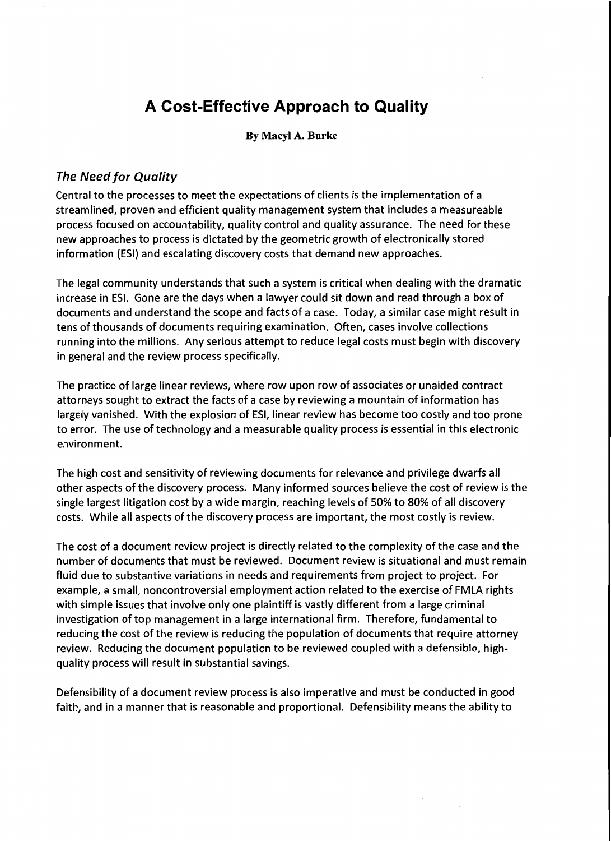# **A Cost-Effective Approach to Quality**

### By Macyl A. Burke

### The Need for Quality

Central to the processes to meet the expectations of clients is the implementation of a streamlined, proven and efficient quality management system that includes a measureable process focused on accountability, quality control and quality assurance. The need for these new approaches to process is dictated by the geometric growth of electronically stored information (ESI} and escalating discovery costs that demand new approaches.

The legal community understands that such a system is critical when dealing with the dramatic increase in ESI. Gone are the days when a lawyer could sit down and read through a box of documents and understand the scope and facts of a case. Today, a similar case might result in tens of thousands of documents requiring examination. Often, cases involve collections running into the millions. Any serious attempt to reduce legal costs must begin with discovery in general and the review process specifically.

The practice of large linear reviews, where row upon row of associates or unaided contract attorneys sought to extract the facts of a case by reviewing a mountain of information has largely vanished. With the explosion of ESI, linear review has become too costly and too prone to error. The use of technology and a measurable quality process is essential in this electronic environment.

The high cost and sensitivity of reviewing documents for relevance and privilege dwarfs all other aspects of the discovery process. Many informed sources believe the cost of review is the single largest litigation cost by a wide margin, reaching levels of 50% to 80% of all discovery costs. While all aspects of the discovery process are important, the most costly is review.

The cost of a document review project is directly related to the complexity of the case and the number of documents that must be reviewed. Document review is situational and must remain fluid due to substantive variations in needs and requirements from project to project. For example, a small, noncontroversial employment action related to the exercise of FMLA rights with simple issues that involve only one plaintiff is vastly different from a large criminal investigation of top management in a large international firm. Therefore, fundamental to reducing the cost of the review is reducing the population of documents that require attorney review. Reducing the document population to be reviewed coupled with a defensible, highquality process will result in substantial savings.

Defensibility of a document review process is also imperative and must be conducted in good faith, and in a manner that is reasonable and proportional. Defensibility means the ability to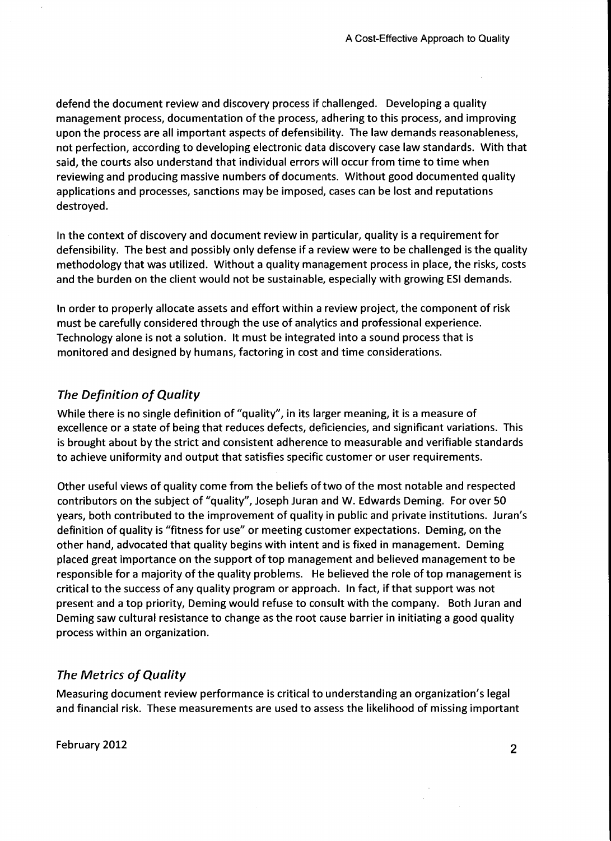defend the document review and discovery process if challenged. Developing a quality management process, documentation of the process, adhering to this process, and improving upon the process are all important aspects of defensibility. The law demands reasonableness, not perfection, according to developing electronic data discovery case law standards. With that said, the courts also understand that individual errors will occur from time to time when reviewing and producing massive numbers of documents. Without good documented quality applications and processes, sanctions may be imposed, cases can be lost and reputations destroyed.

In the context of discovery and document review in particular, quality is a requirement for defensibility. The best and possibly only defense if a review were to be challenged is the quality methodology that was utilized. Without a quality management process in place, the risks, costs and the burden on the client would not be sustainable, especially with growing ESI demands.

In order to properly allocate assets and effort within a review project, the component of risk must be carefully considered through the use of analytics and professional experience. Technology alone is not a solution. It must be integrated into a sound process that is monitored and designed by humans, factoring in cost and time considerations.

# *The Definition of Quality*

While there is no single definition of "quality", in its larger meaning, it is a measure of excellence or a state of being that reduces defects, deficiencies, and significant variations. This is brought about by the strict and consistent adherence to measurable and verifiable standards to achieve uniformity and output that satisfies specific customer or user requirements.

Other useful views of quality come from the beliefs of two of the most notable and respected contributors on the subject of "quality", Joseph Juran and W. Edwards Deming. For over 50 years, both contributed to the improvement of quality in public and private institutions. Juran's definition of quality is "fitness for use" or meeting customer expectations. Deming, on the other hand, advocated that quality begins with intent and is fixed in management. Deming placed great importance on the support of top management and believed management to be responsible for a majority of the quality problems. He believed the role of top management is critical to the success of any quality program or approach. In fact, if that support was not present and a top priority, Deming would refuse to consult with the company. Both Juran and Deming saw cultural resistance to change as the root cause barrier in initiating a good quality process within an organization.

## *The Metrics of Quality*

Measuring document review performance is critical to understanding an organization's legal and financial risk. These measurements are used to assess the likelihood of missing important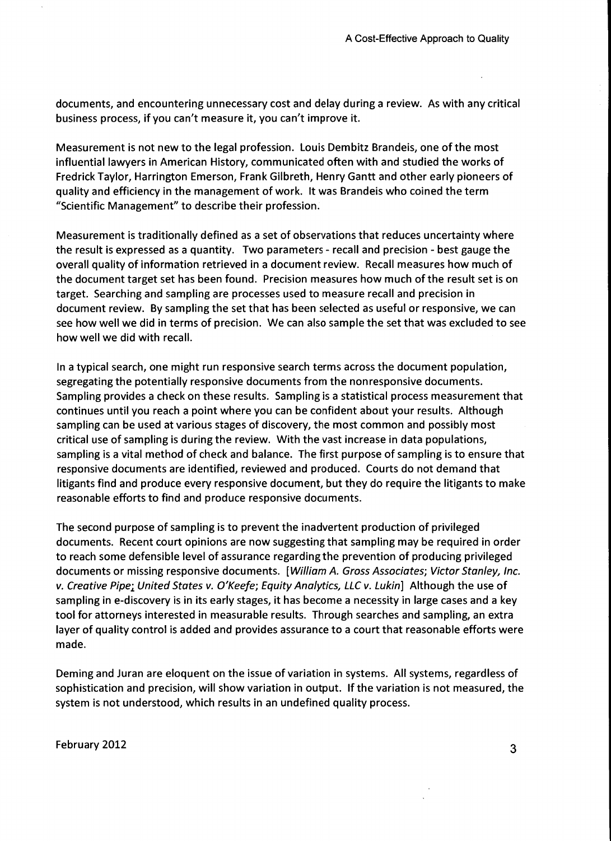documents, and encountering unnecessary cost and delay during a review. As with any critical business process, if you *can't* measure it, you *can't* improve it.

Measurement is not new to the legal profession. Louis Dembitz Brandeis, one of the most influential lawyers in American History, communicated often with and studied the works of Fredrick Taylor, Harrington Emerson, Frank Gilbreth, Henry Gantt and other early pioneers of quality and efficiency in the management of work. It was Brandeis who coined the term "Scientific Management" to describe their profession.

Measurement is traditionally defined as a set of observations that reduces uncertainty where the result is expressed as a quantity. Two parameters- recall and precision - best gauge the overall quality of information retrieved in a document review. Recall measures how much of the document target set has been found. Precision measures how much of the result set is on target. Searching and sampling are processes used to measure recall and precision in document review. By sampling the set that has been selected as useful or responsive, we can see how well we did in terms of precision. We can also sample the set that was excluded to see how well we did with recall.

In a typical search, one might run responsive search terms across the document population, segregating the potentially responsive documents from the nonresponsive documents. Sampling provides a check on these results. Sampling is a statistical process measurement that continues until you reach a point where you can be confident about your results. Although sampling can be used at various stages of discovery, the most common and possibly most critical use of sampling is during the review. With the vast increase in data populations, sampling is a vital method of check and balance. The first purpose of sampling is to ensure that responsive documents are identified, reviewed and produced. Courts do not demand that litigants find and produce every responsive document, but they do require the litigants to make reasonable efforts to find and produce responsive documents.

The second purpose of sampling is to prevent the inadvertent production of privileged documents. Recent court opinions are now suggesting that sampling may be required in order to reach some defensible level of assurance regarding the prevention of producing privileged documents or missing responsive documents. [William A. Gross Associates; Victor Stanley, Inc. v. Creative Pipe; United States v. O'Keefe; Equity Analytics, LLC v. Lukin] Although the use of sampling in e-discovery is in its early stages, it has become a necessity in large cases and a key tool for attorneys interested in measurable results. Through searches and sampling, an extra layer of quality control is added and provides assurance to a court that reasonable efforts were made.

Deming and Juran are eloquent on the issue of variation in systems. All systems, regardless of sophistication and precision, will show variation in output. If the variation is not measured, the system is not understood, which results in an undefined quality process.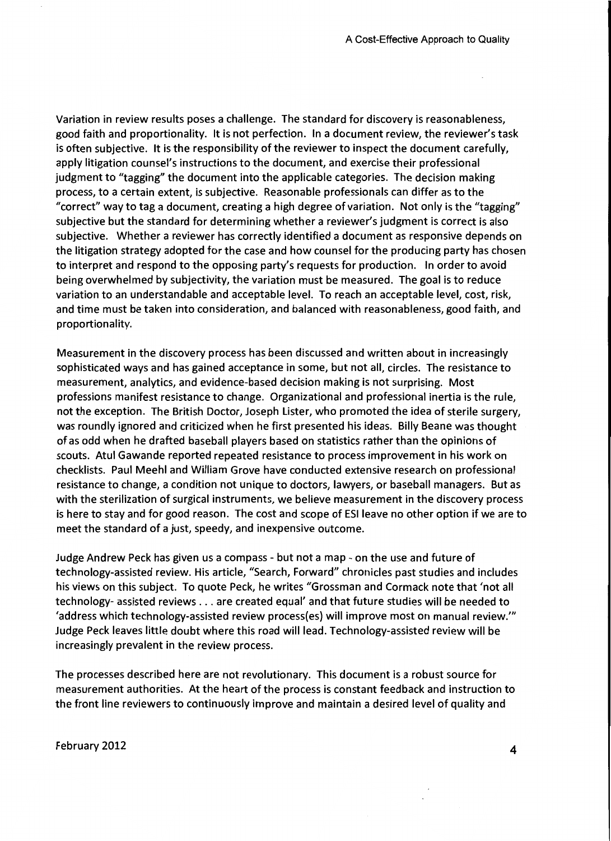Variation in review results poses a challenge. The standard for discovery is reasonableness, good faith and proportionality. It is not perfection. In a document review, the reviewer's task is often subjective. It is the responsibility of the reviewer to inspect the document carefully, apply litigation counsel's instructions to the document, and exercise their professional judgment to "tagging" the document into the applicable categories. The decision making process, to a certain extent, is subjective. Reasonable professionals can differ as to the "correct" way to tag a document, creating a high degree of variation. Not only is the "tagging" subjective but the standard for determining whether a reviewer's judgment is correct is also subjective. Whether a reviewer has correctly identified a document as responsive depends on the litigation strategy adopted for the case and how counsel for the producing party has chosen to interpret and respond to the opposing party's requests for production. In order to avoid being overwhelmed by subjectivity, the variation must be measured. The goal is to reduce variation to an understandable and acceptable level. To reach an acceptable level, cost, risk, and time must be taken into consideration, and balanced with reasonableness, good faith, and proportionality.

Measurement in the discovery process has been discussed and written about in increasingly sophisticated ways and has gained acceptance in some, but not all, circles. The resistance to measurement, analytics, and evidence-based decision making is not surprising. Most professions manifest resistance to change. Organizational and professional inertia is the rule, not the exception. The British Doctor, Joseph Lister, who promoted the idea of sterile surgery, was roundly ignored and criticized when he first presented his ideas. Billy Beane was thought of as odd when he drafted baseball players based on statistics rather than the opinions of scouts. Atul Gawande reported repeated resistance to process improvement in his work on checklists. Paul Meehl and William Grove have conducted extensive research on professional resistance to change, a condition not unique to doctors, lawyers, or baseball managers. But as with the sterilization of surgical instruments, we believe measurement in the discovery process is here to stay and for good reason. The cost and scope of ESileave no other option if we are to meet the standard of a just, speedy, and inexpensive outcome.

Judge Andrew Peck has given us a compass- but not a map- on the use and future of technology-assisted review. His article, "Search, Forward" chronicles past studies and includes his views on this subject. To quote Peck, he writes "Grossman and Cormack note that 'not all technology- assisted reviews ... are created equal' and that future studies will be needed to 'address which technology-assisted review process(es) will improve most on manual review."' Judge Peck leaves little doubt where this road will lead. Technology-assisted review will be increasingly prevalent in the review process.

The processes described here are not revolutionary. This document is a robust source for measurement authorities. At the heart of the process is constant feedback and instruction to the front line reviewers to continuously improve and maintain a desired level of quality and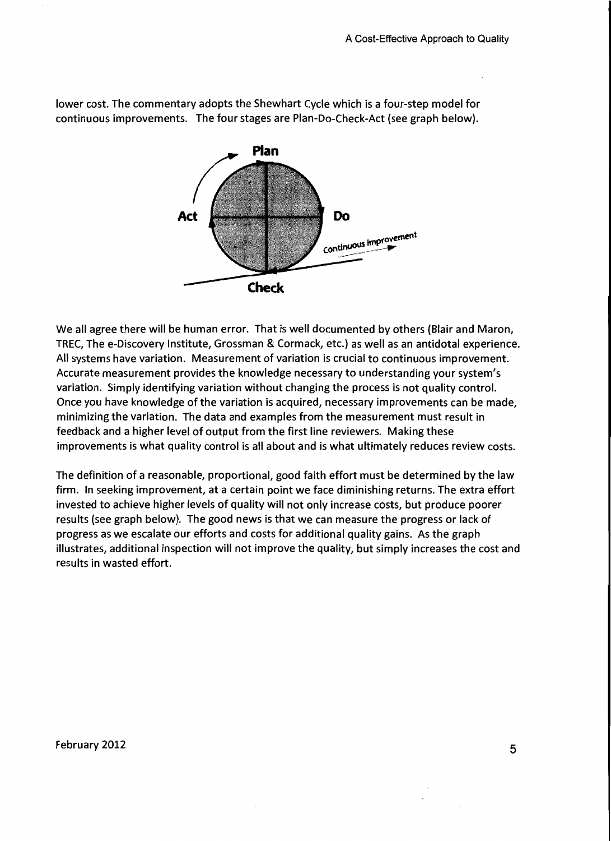lower cost. The commentary adopts the Shewhart Cycle which is a four-step model for continuous improvements. The four stages are Plan-Do-Check-Act (see graph below).



We all agree there will be human error. That is well documented by others (Blair and Maron, TREC, The e-Discovery Institute, Grossman & Cormack, etc.) as well as an antidotal experience. All systems have variation. Measurement of variation is crucial to continuous improvement. Accurate measurement provides the knowledge necessary to understanding your system's variation. Simply identifying variation without changing the process is not quality control. Once you have knowledge of the variation is acquired, necessary improvements can be made, minimizing the variation. The data and examples from the measurement must result in feedback and a higher level of output from the first line reviewers. Making these improvements is what quality control is all about and is what ultimately reduces review costs.

The definition of a reasonable, proportional, good faith effort must be determined by the law firm. In seeking improvement, at a certain point we face diminishing returns. The extra effort invested to achieve higher levels of quality will not only increase costs, but produce poorer results (see graph below). The good news is that we can measure the progress or lack of progress as we escalate our efforts and costs for additional quality gains. As the graph illustrates, additional inspection will not improve the quality, but simply increases the cost and results in wasted effort.

February 2012  $\qquad \qquad \qquad 5$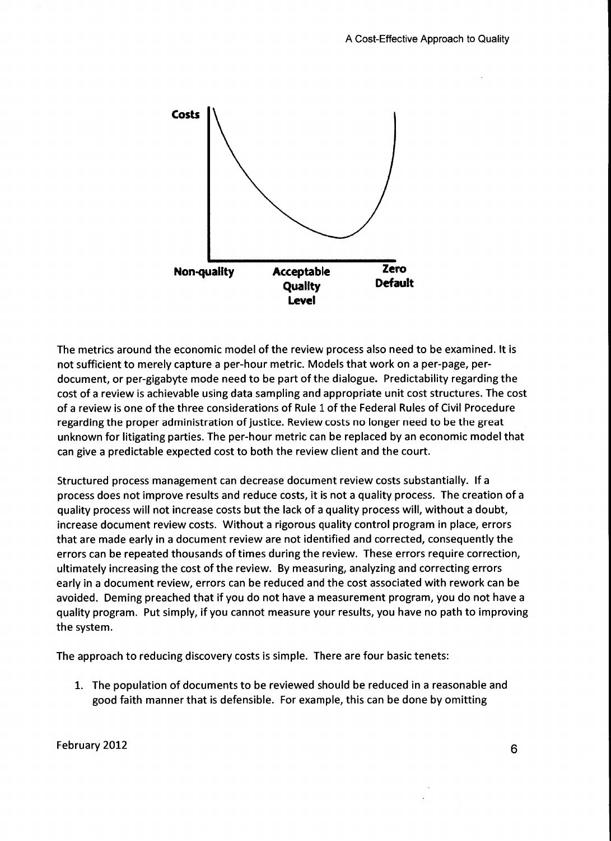

The metrics around the economic model of the review process also need to be examined. It is not sufficient to merely capture a per-hour metric. Models that work on a per-page, perdocument, or per-gigabyte mode need to be part of the dialogue. Predictability regarding the cost of a review is achievable using data sampling and appropriate unit cost structures. The cost of a review is one of the three considerations of Rule 1 of the Federal Rules of Civil Procedure regarding the proper administration of justice. Review costs no longer need to be the great unknown for litigating parties. The per-hour metric can be replaced by an economic model that can give a predictable expected cost to both the review client and the court.

Structured process management can decrease document review costs substantially. If a process does not improve results and reduce costs, it is not a quality process. The creation of a quality process will not increase costs but the lack of a quality process will, without a doubt, increase document review costs. Without a rigorous quality control program in place, errors that are made early in a document review are not identified and corrected, consequently the errors can be repeated thousands of times during the review. These errors require correction, ultimately increasing the cost of the review. By measuring, analyzing and correcting errors early in a document review, errors can be reduced and the cost associated with rework can be avoided. Deming preached that if you do not have a measurement program, you do not have a quality program. Put simply, if you cannot measure your results, you have no path to improving the system.

The approach to reducing discovery costs is simple. There are four basic tenets:

1. The population of documents to be reviewed should be reduced in a reasonable and good faith manner that is defensible. For example, this can be done by omitting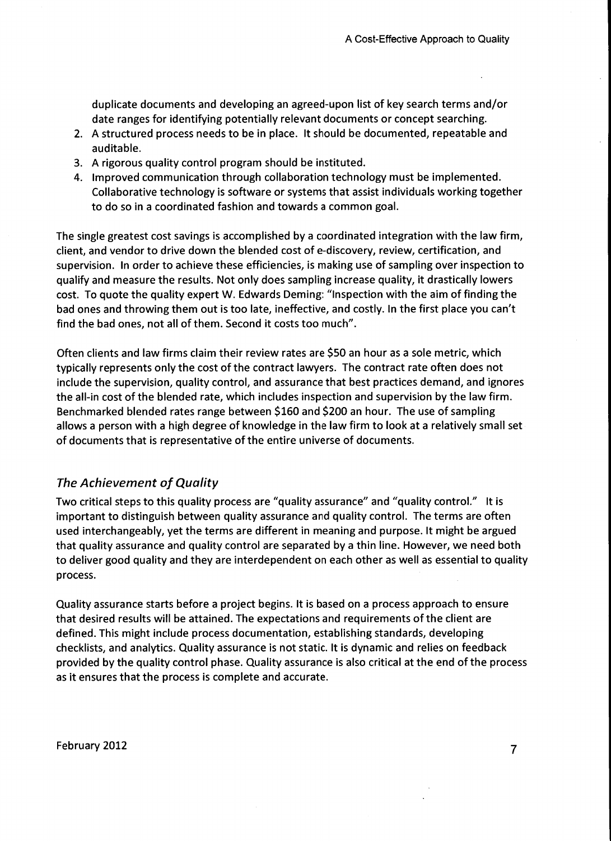duplicate documents and developing an agreed-upon list of key search terms and/or date ranges for identifying potentially relevant documents or concept searching.

- 2. A structured process needs to be in place. It should be documented, repeatable and auditable.
- 3. A rigorous quality control program should be instituted.
- 4. Improved communication through collaboration technology must be implemented. Collaborative technology is software or systems that assist individuals working together to do so in a coordinated fashion and towards a common goal.

The single greatest cost savings is accomplished by a coordinated integration with the law firm, client, and vendor to drive down the blended cost of e-discovery, review, certification, and supervision. In order to achieve these efficiencies, is making use of sampling over inspection to qualify and measure the results. Not only does sampling increase quality, it drastically lowers cost. To quote the quality expert W. Edwards Deming: "Inspection with the aim of finding the bad ones and throwing them out is too late, ineffective, and costly. In the first place you can't find the bad ones, not all of them. Second it costs too much".

Often clients and law firms claim their review rates are \$50 an hour as a sole metric, which typically represents only the cost of the contract lawyers. The contract rate often does not include the supervision, quality control, and assurance that best practices demand, and ignores the all-in cost of the blended rate, which includes inspection and supervision by the law firm. Benchmarked blended rates range between \$160 and \$200 an hour. The use of sampling allows a person with a high degree of knowledge in the law firm to look at a relatively small set of documents that is representative of the entire universe of documents.

## *The Achievement of Quality*

Two critical steps to this quality process are "quality assurance" and "quality control." It is important to distinguish between quality assurance and quality control. The terms are often used interchangeably, yet the terms are different in meaning and purpose. It might be argued that quality assurance and quality control are separated by a thin line. However, we need both to deliver good quality and they are interdependent on each other as well as essential to quality process.

Quality assurance starts before a project begins. It is based on a process approach to ensure that desired results will be attained. The expectations and requirements of the client are defined. This might include process documentation, establishing standards, developing checklists, and analytics. Quality assurance is not static. It is dynamic and relies on feedback provided by the quality control phase. Quality assurance is also critical at the end of the process as it ensures that the process is complete and accurate.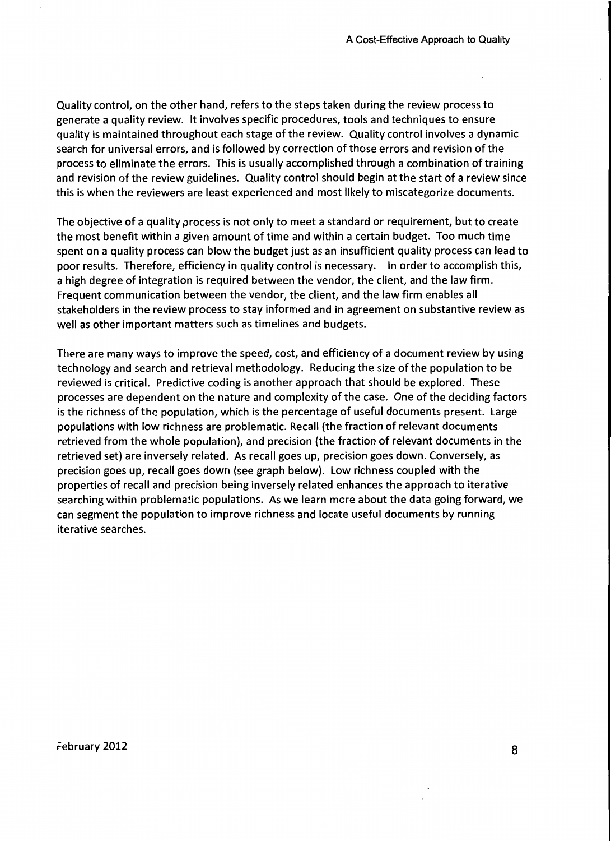Quality control, on the other hand, refers to the steps taken during the review process to generate a quality review. It involves specific procedures, tools and techniques to ensure quality is maintained throughout each stage of the review. Quality control involves a dynamic search for universal errors, and is followed by correction of those errors and revision of the process to eliminate the errors. This is usually accomplished through a combination of training and revision of the review guidelines. Quality control should begin at the start of a review since this is when the reviewers are least experienced and most likely to miscategorize documents.

The objective of a quality process is not only to meet a standard or requirement, but to create the most benefit within a given amount of time and within a certain budget. Too much time spent on a quality process can blow the budget just as an insufficient quality process can lead to poor results. Therefore, efficiency in quality control is necessary. In order to accomplish this, a high degree of integration is required between the vendor, the client, and the law firm. Frequent communication between the vendor, the client, and the law firm enables all stakeholders in the review process to stay informed and in agreement on substantive review as well as other important matters such as timelines and budgets.

There are many ways to improve the speed, cost, and efficiency of a document review by using technology and search and retrieval methodology. Reducing the size of the population to be reviewed is critical. Predictive coding is another approach that should be explored. These processes are dependent on the nature and complexity of the case. One of the deciding factors is the richness of the population, which is the percentage of useful documents present. Large populations with low richness are problematic. Recall (the fraction of relevant documents retrieved from the whole population), and precision (the fraction of relevant documents in the retrieved set) are inversely related. As recall goes up, precision goes down. Conversely, as precision goes up, recall goes down (see graph below). Low richness coupled with the properties of recall and precision being inversely related enhances the approach to iterative searching within problematic populations. As we learn more about the data going forward, we can segment the population to improve richness and locate useful documents by running iterative searches.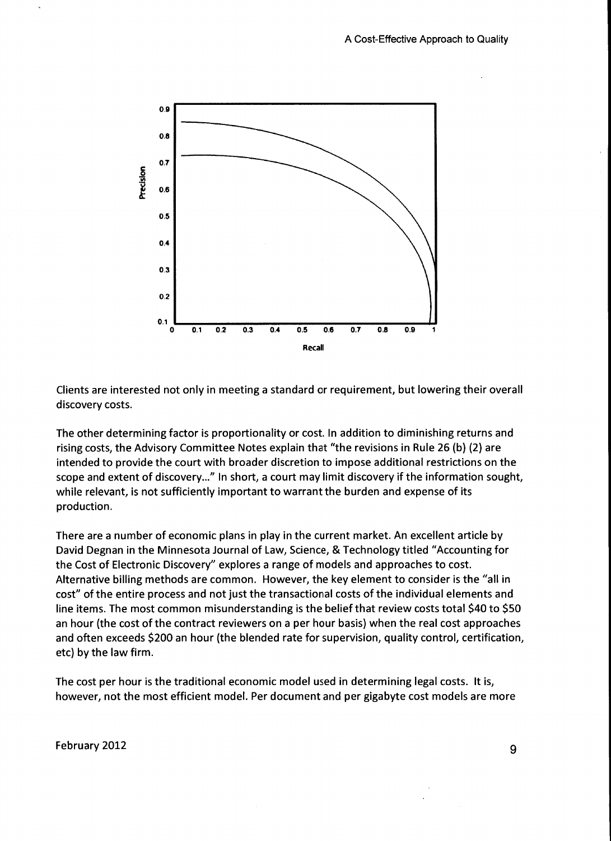

Clients are interested not only in meeting a standard or requirement, but lowering their overall discovery costs.

The other determining factor is proportionality or cost. In addition to diminishing returns and rising costs, the Advisory Committee Notes explain that "the revisions in Rule 26 (b) (2) are intended to provide the court with broader discretion to impose additional restrictions on the scope and extent of discovery..." In short, a court may limit discovery if the information sought, while relevant, is not sufficiently important to warrant the burden and expense of its production.

There are a number of economic plans in play in the current market. An excellent article by David Degnan in the Minnesota Journal of Law, Science, & Technology titled "Accounting for the Cost of Electronic Discovery" explores a range of models and approaches to cost. Alternative billing methods are common. However, the key element to consider is the "all in cost" of the entire process and not just the transactional costs of the individual elements and line items. The most common misunderstanding is the belief that review costs total \$40 to \$50 an hour (the cost of the contract reviewers on a per hour basis) when the real cost approaches and often exceeds \$200 an hour (the blended rate for supervision, quality control, certification, etc) by the law firm.

The cost per hour is the traditional economic model used in determining legal costs. It is, however, not the most efficient model. Per document and per gigabyte cost models are more